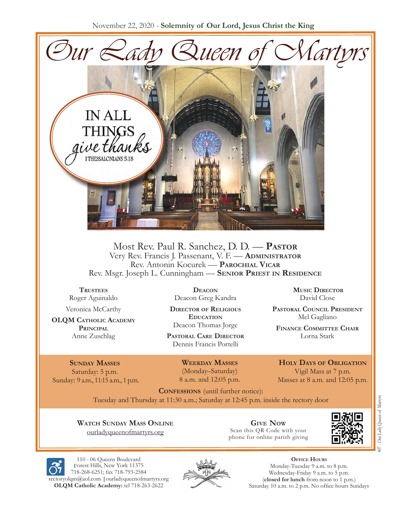November 22, 2020 - **Solemnity of Our Lord, Jesus Christ the King**



#### Most Rev. Paul R. Sanchez, D. D. — **Pastor** Very Rev. Francis J. Passenant, V. F. — **Administrator** Rev. Antonin Kocurek — **Parochial Vicar** Rev. Msgr. Joseph L. Cunningham — **Senior Priest in Residence**

**Trustees** Roger Aguinaldo

Veronica McCarthy

**OLQM Catholic Academy Principal** Anne Zuschlag

**Deacon** Deacon Greg Kandra

**Director of Religious Education** Deacon Thomas Jorge

**Pastoral Care Director** Dennis Francis Portelli

> **Weekday Masses** (Monday–Saturday) 8 a.m. and 12:05 p.m.

 **Music Director** David Close

**Pastoral Council President** Mel Gagliano **Finance Committee Chair**

Lorna Stark

**Sunday Masses** Saturday: 5 p.m. Sunday: 9 a.m., 11:15 a.m., 1 p.m.

**Holy Days of Obligation** Vigil Mass at 7 p.m. Masses at 8 a.m. and 12:05 p.m.

**CONFESSIONS** (until further notice): Tuesday and Thursday at 11:30 a.m.; Saturday at 12:45 p.m. inside the rectory door

**Watch Sunday Mass Online** [ourladyqueenofmartyrs.org](https://ourladyqueenofmartyrs.org/)

**Give Now** Scan this QR Code with your phone for online parish giving



110 - 06 Queens Boulevard Forest Hills, New York 11375 [718-268-6251](mailto:rectoryolqm@aol.com); [fax 718-793-2584](www.ourladyqueenofmartyrs.org) rectoryolqm@aol.com **|**ourladyqueenofmartyrs.org **OLQM Catholic Academy:** tel 718-263-2622



**OFFICE HOURS** Monday-Tuesday 9 a.m. to 8 p.m. Wednesday-Friday 9 a.m. to 5 p.m. (**closed for lunch** from noon to 1 p.m.) Saturday 10 a.m. to 2 p.m. No office hours Sundays Our Lady Queen of Martyrs 407 - Our Lady Queen of Martyrs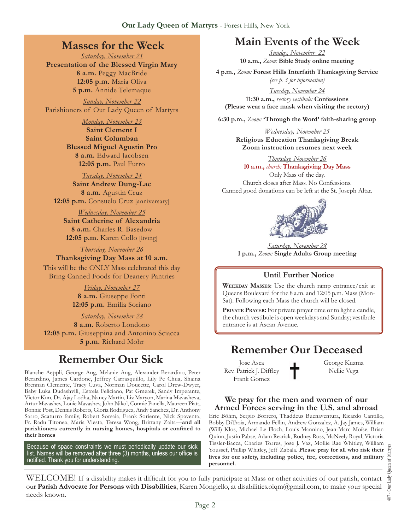## **Masses for the Week**

*Saturday, November 21* **Presentation of the Blessed Virgin Mary 8 a.m.** Peggy MacBride **12:05 p.m.** Maria Oliva **5 p.m.** Annide Telemaque

*Sunday, November 22* Parishioners of Our Lady Queen of Martyrs

> *Monday, November 23* **Saint Clement I Saint Columban Blessed Miguel Agustin Pro 8 a.m.** Edward Jacobsen **12:05 p.m.** Paul Furro

> > *Tuesday, November 24*

**Saint Andrew Dung-Lac 8 a.m.** Agustin Cruz **12:05 p.m.** Consuelo Cruz [anniversary]

#### *Wednesday, November 25*

**Saint Catherine of Alexandria 8 a.m.** Charles R. Basedow **12:05 p.m.** Karen Collo [living]

*Thursday, November 26*

**Thanksgiving Day Mass at 10 a.m.** 

This will be the ONLY Mass celebrated this day Bring Canned Foods for Deanery Pantries

> *Friday, November 27* **8 a.m.** Giuseppe Fonti **12:05 p.m.** Emilia Soriano

*Saturday, November 28* **8 a.m.** Roberto Londono **12:05 p.m.** Giuseppina and Antonino Sciacca **5 p.m.** Richard Mohr

# **Remember Our Sick**

Blanche Aeppli, George Ang, Melanie Ang, Alexander Berardino, Peter Berardino, James Cardone, Jeffrey Carrasquillo, Lily Pe Chua, Shaina Brennan Clemente, Tracy Cuva, Norman Doucette, Carol Drew-Dwyer, Baby Luka Dudashvili, Estrela Feliciano, Pat Gmerek, Sandy Imperante, Victor Kun, Dr. Ajay Lodha, Nancy Martin, Liz Maryon, Marina Mavasheva, Artur Mavashev, Louie Mavashev, John Nikol, Connie Panella, Maureen Piatt, Bonnie Post, Dennis Roberts, Gloria Rodriguez, Andy Sanchez, Dr. Anthony Sarro, Scaturro family, Robert Sorsaia, Frank Soriente, Nick Spaventa, Fr. Radu Titonea, Maria Viesta, Teresa Wong, Brittany Zaita—**and all parishioners currently in nursing homes, hospitals or confined to their homes**

Because of space constraints we must periodically update our sick list. Names will be removed after three (3) months, unless our office is notified. Thank you for understanding.

# **Main Events of the Week**

*Sunday, November 22* **10 a.m.,** *Zoom:* **Bible Study online meeting** 

**4 p.m.,** *Zoom:* **Forest Hills Interfaith Thanksgiving Service**  *(see p. 3 for information)*

*Tuesday, November 24* **11:30 a.m.,** *rectory vestibule:* **Confessions (Please wear a face mask when visiting the rectory)**

**6:30 p.m.,** *Zoom:* **'Through the Word' faith-sharing group**

*Wednesday, November 25* **Religious Education Thanksgiving Break Zoom instruction resumes next week**

*Thursday, November 26* **10 a.m.,** *church:* **Thanksgiving Day Mass**  Only Mass of the day.

Church closes after Mass. No Confessions. Canned good donations can be left at the St. Joseph Altar.



*Saturday, November 28* **1 p.m.,** *Zoom:* **Single Adults Group meeting** 

#### **Until Further Notice**

**Weekday Masses:** Use the church ramp entrance/exit at Queens Boulevard for the 8 a.m. and 12:05 p.m. Mass (Mon-Sat). Following each Mass the church will be closed.

PRIVATE PRAYER: For private prayer time or to light a candle, the church vestibule is open weekdays and Sunday; vestibule entrance is at Ascan Avenue.

# **Remember Our Deceased**

Jose Asca Rev. Patrick J. Diffley Frank Gomez

George Kuzma Nellie Vega

#### **We pray for the men and women of our Armed Forces serving in the U.S. and abroad**

Eric Böhm, Sergio Borrero, Thaddeus Buenaventura, Ricardo Cantillo, Bobby DiTroia, Armando Fellin, Andrew Gonzalez, A. Jay James, William (Will) Klos, Michael Le Floch, Louis Mannino, Jean-Marc Moïse, Brian Quinn, Justin Pabse, Adam Rearick, Rodney Ross, McNeely Royal, Victoria Tissler-Bacca, Charles Torres, Jose J. Vaz, Mollie Rae Whitley, William Youssef, Phillip Whitley, Jeff Zabala. **Please pray for all who risk their lives for our safety, including police, fire, corrections, and military**  $\frac{55}{6}$  **<b>personnel. lives for our safety, including police, fire, corrections, and military personnel.**

WELCOME! If a disability makes it difficult for you to fully participate at Mass or other activities of our parish, contact our **Parish Advocate for Persons with Disabilities**, Karen Mongiello, at [disabilities.olqm@gmail.com](mailto:disabilities.olqm@gmail.com), to make your special needs known.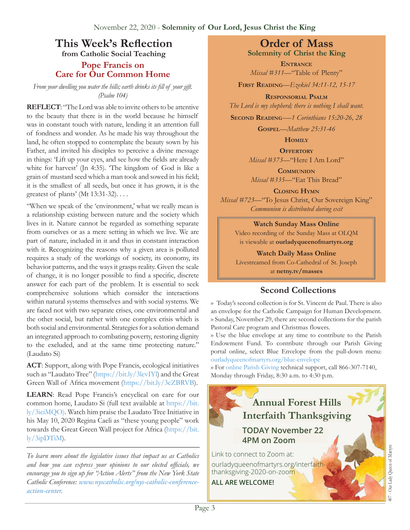#### **This Week's Reflection from Catholic Social Teaching**

#### **Pope Francis on Care for Our Common Home**

*From your dwelling you water the hills; earth drinks its fill of your gift. (Psalm 104)*

**REFLECT**: "The Lord was able to invite others to be attentive to the beauty that there is in the world because he himself was in constant touch with nature, lending it an attention full of fondness and wonder. As he made his way throughout the land, he often stopped to contemplate the beauty sown by his Father, and invited his disciples to perceive a divine message in things: 'Lift up your eyes, and see how the fields are already white for harvest' (Jn 4:35). 'The kingdom of God is like a grain of mustard seed which a man took and sowed in his field; it is the smallest of all seeds, but once it has grown, it is the greatest of plants' (Mt 13:31-32). . . .

"When we speak of the 'environment,' what we really mean is a relationship existing between nature and the society which lives in it. Nature cannot be regarded as something separate from ourselves or as a mere setting in which we live. We are part of nature, included in it and thus in constant interaction with it. Recognizing the reasons why a given area is polluted requires a study of the workings of society, its economy, its behavior patterns, and the ways it grasps reality. Given the scale of change, it is no longer possible to find a specific, discrete answer for each part of the problem. It is essential to seek comprehensive solutions which consider the interactions within natural systems themselves and with social systems. We are faced not with two separate crises, one environmental and the other social, but rather with one complex crisis which is both social and environmental. Strategies for a solution demand an integrated approach to combating poverty, restoring dignity to the excluded, and at the same time protecting nature." (Laudato Si)

**ACT**: Support, along with Pope Francis, ecological initiatives such as "Laudato Tree" [\(https://bit.ly/3levIYl\)](https://bit.ly/3levIYl) and the Great Green Wall of Africa movement [\(https://bit.ly/3cZBRVB](https://bit.ly/3cZBRVB)).

**LEARN**: Read Pope Francis's encyclical on care for our common home, Laudato Si (full text available at [https://bit.](https://bit.ly/3iciMQO) [ly/3iciMQO](https://bit.ly/3iciMQO)). Watch him praise the Laudato Tree Initiative in his May 10, 2020 Regina Caeli as "these young people" work towards the Great Green Wall project for Africa [\(https://bit.](https://bit.ly/3ipDTiM) [ly/3ipDTiM\)](https://bit.ly/3ipDTiM).

*To learn more about the legislative issues that impact us as Catholics and how you can express your opinions to our elected officials, we encourage you to sign up for "Action Alerts" from the New York State Catholic Conference: [www.nyscatholic.org/nys-catholic-conference](https://www.nyscatholic.org/nys-catholic-conference-action-center)[action-center](https://www.nyscatholic.org/nys-catholic-conference-action-center).* 

## **Order of Mass**

**Solemnity of Christ the King**

**Entrance** *Missal #311—*"Table of Plenty"

**First Reading***—Ezekiel 34:11-12, 15-17* 

**Responsorial Psalm** *The Lord is my shepherd; there is nothing I shall want.*

**Second Reading***-—1 Corinthians 15:20-26, 28*

**Gospel***—Matthew 25:31-46* 

**Homily**

**Offertory**

*Missal #373—*"Here I Am Lord"

**Communion** *Missal #335—*"Eat This Bread"

**Closing Hymn**

*Missal #723—*"To Jesus Christ, Our Sovereign King" *Communion is distributed during exit* 

**Watch Sunday Mass Online** 

Video recording of the Sunday Mass at OLQM is viewable at **[ourladyqueenofmartyrs.org](https://ourladyqueenofmartyrs.org)**

**Watch Daily Mass Online**  Livestreamed from Co-Cathedral of St. Joseph at **[netny.tv/masses](https://netny.tv/masses/)**

#### **Second Collections**

›› Today's second collection is for St. Vincent de Paul. There is also an envelope for the Catholic Campaign for Human Development. ›› Sunday, November 29, there are second collections for the parish Pastoral Care program and Christmas flowers.

›› Use the blue envelope at any time to contribute to the Parish Endowment Fund. To contribute through our Parish Giving portal online, select Blue Envelope from the pull-down menu: [ourladyqueenofmartyrs.org/blue-envelope](https://ourladyqueenofmartyrs.org/blue-envelope/)

›› For [online Parish Giving](https://ourladyqueenofmartyrs.org/parish-giving/) technical support, call 866-307-7140, Monday through Friday, 8:30 a.m. to 4:30 p.m.

# **TODAY November 22 4PM on Zoom Annual Forest Hills Interfaith Thanksgiving**

Link to connect to Zoom at:

[ourladyqueenofmartyrs.org/interfaith](https://ourladyqueenofmartyrs.org/interfaith-thanksgiving-2020-on-zoom/)[thanksgiving-2020-on-zoom](https://ourladyqueenofmartyrs.org/interfaith-thanksgiving-2020-on-zoom/)

**ALL ARE WELCOME!**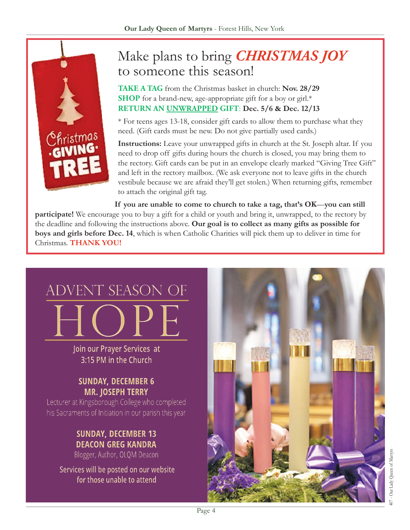

# Make plans to bring *CHRISTMAS JOY* to someone this season!

**TAKE A TAG** from the Christmas basket in church: **Nov. 28/29 SHOP** for a brand-new, age-appropriate gift for a boy or girl.\* **RETURN AN UNWRAPPED GIFT**: **Dec. 5/6 & Dec. 12/13**

\* For teens ages 13-18, consider gift cards to allow them to purchase what they need. (Gift cards must be new. Do not give partially used cards.)

**Instructions:** Leave your unwrapped gifts in church at the St. Joseph altar. If you need to drop off gifts during hours the church is closed, you may bring them to the rectory. Gift cards can be put in an envelope clearly marked "Giving Tree Gift" and left in the rectory mailbox. (We ask everyone not to leave gifts in the church vestibule because we are afraid they'll get stolen.) When returning gifts, remember to attach the original gift tag.

**If you are unable to come to church to take a tag, that's OK**—**you can still participate!** We encourage you to buy a gift for a child or youth and bring it, unwrapped, to the rectory by the deadline and following the instructions above. **Our goal is to collect as many gifts as possible for boys and girls before Dec. 14**, which is when Catholic Charities will pick them up to deliver in time for Christmas. **THANK YOU!**

# **ADVENT SEASON OF**

Join our Prayer Services at 3:15 PM in the Church

### **SUNDAY, DECEMBER 6 MR. JOSEPH TERRY**

Lecturer at Kingsborough College who completed his Sacraments of Initiation in our parish this year

#### **SUNDAY, DECEMBER 13 DEACON GREG KANDRA** Blogger, Author, OLQM Deacon

 **Services will be posted on our website**for those unable to attend

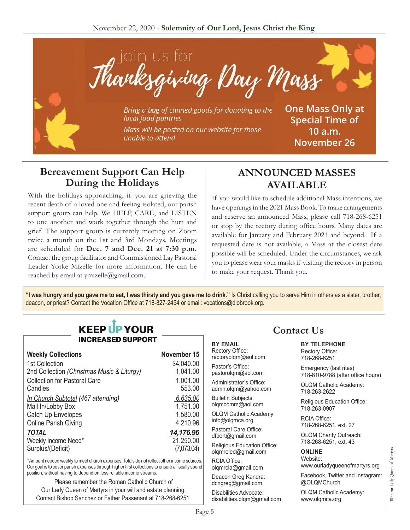

**Bereavement Support Can Help During the Holidays**

unable to attend

With the holidays approaching, if you are grieving the recent death of a loved one and feeling isolated, our parish support group can help. We HELP, CARE, and LISTEN to one another and work together through the hurt and grief. The support group is currently meeting on Zoom twice a month on the 1st and 3rd Mondays. Meetings are scheduled for **Dec. 7 and Dec. 21 at 7:30 p.m.**  Contact the group facilitator and Commissioned Lay Pastoral Leader Yorke Mizelle for more information. He can be reached by email at [ymizelle@gmail.com](mailto:ymizelle@gmail.com).

# **ANNOUNCED MASSES AVAILABLE**

**November 26** 

If you would like to schedule additional Mass intentions, we have openings in the 2021 Mass Book. To make arrangements and reserve an announced Mass, please call 718-268-6251 or stop by the rectory during office hours. Many dates are available for January and February 2021 and beyond. If a requested date is not available, a Mass at the closest date possible will be scheduled. Under the circumstances, we ask you to please wear your masks if visiting the rectory in person to make your request. Thank you.

**"I was hungry and you gave me to eat, I was thirsty and you gave me to drink."** Is Christ calling you to serve Him in others as a sister, brother, deacon, or priest? Contact the Vocation Office at 718-827-2454 or email: [vocations@diobrook.org](mailto:vocations@diobrook.org).

> **BY EMAIL** Rectory Office: rectoryolqm@aol.com Pastor's Office: pastorolqm@aol.com Administrator's Office: admn.olqm@yahoo.com Bulletin Subjects: olqmcomm@aol.com OLQM Catholic Academy info@olqmca.org Pastoral Care Office: dfport@gmail.com

Religious Education Office: olqmreled@gmail.com

RCIA Office: olqmrcia@gmail.com Deacon Greg Kandra: dcngreg@gmail.com Disabilities Advocate: disabilities.olqm@gmail.com

## **KFFPI INCREASED SUPPORT**

| November 15 |
|-------------|
| \$4,040.00  |
| 1,041.00    |
| 1,001.00    |
| 553.00      |
| 6,635.00    |
| 1,751.00    |
| 1,580.00    |
| 4,210.96    |
| 14,176.96   |
| 21,250.00   |
| (7,073.04)  |
|             |

*\** Amount needed weekly to meet church expenses. Totals do not reflect other income sources. Our goal is to cover parish expenses through higher first collections to ensure a fiscally sound position, without having to depend on less reliable income streams.

Please remember the Roman Catholic Church of Our Lady Queen of Martyrs in your will and estate planning. Contact Bishop Sanchez or Father Passenant at 718-268-6251.

# **Contact Us**

**BY TELEPHONE** Rectory Office: 718-268-6251

Emergency (last rites) 718-810-9788 (after office hours)

OLQM Catholic Academy: 718-263-2622

Religious Education Office: 718-263-0907

RCIA Office: 718-268-6251, ext. 27

OLQM Charity Outreach: 718-268-6251, ext. 43

**ONLINE** Website:

<www.ourladyqueenofmartyrs.org>

Facebook, Twitter and Instagram: @OLQMChurch

OLQM Catholic Academy: <www.olqmca.org>